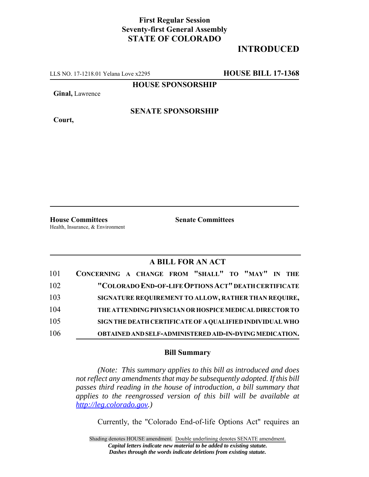## **First Regular Session Seventy-first General Assembly STATE OF COLORADO**

## **INTRODUCED**

LLS NO. 17-1218.01 Yelana Love x2295 **HOUSE BILL 17-1368**

**HOUSE SPONSORSHIP**

**Ginal,** Lawrence

**Court,**

**SENATE SPONSORSHIP**

Health, Insurance, & Environment

**House Committees Senate Committees**

## **A BILL FOR AN ACT**

| 101 | CONCERNING A CHANGE FROM "SHALL" TO "MAY" IN THE               |
|-----|----------------------------------------------------------------|
| 102 | "COLORADO END-OF-LIFE OPTIONS ACT" DEATH CERTIFICATE           |
| 103 | SIGNATURE REQUIREMENT TO ALLOW, RATHER THAN REQUIRE,           |
| 104 | THE ATTENDING PHYSICIAN OR HOSPICE MEDICAL DIRECTOR TO         |
| 105 | SIGN THE DEATH CERTIFICATE OF A QUALIFIED INDIVIDUAL WHO       |
| 106 | <b>OBTAINED AND SELF-ADMINISTERED AID-IN-DYING MEDICATION.</b> |

## **Bill Summary**

*(Note: This summary applies to this bill as introduced and does not reflect any amendments that may be subsequently adopted. If this bill passes third reading in the house of introduction, a bill summary that applies to the reengrossed version of this bill will be available at http://leg.colorado.gov.)*

Currently, the "Colorado End-of-life Options Act" requires an